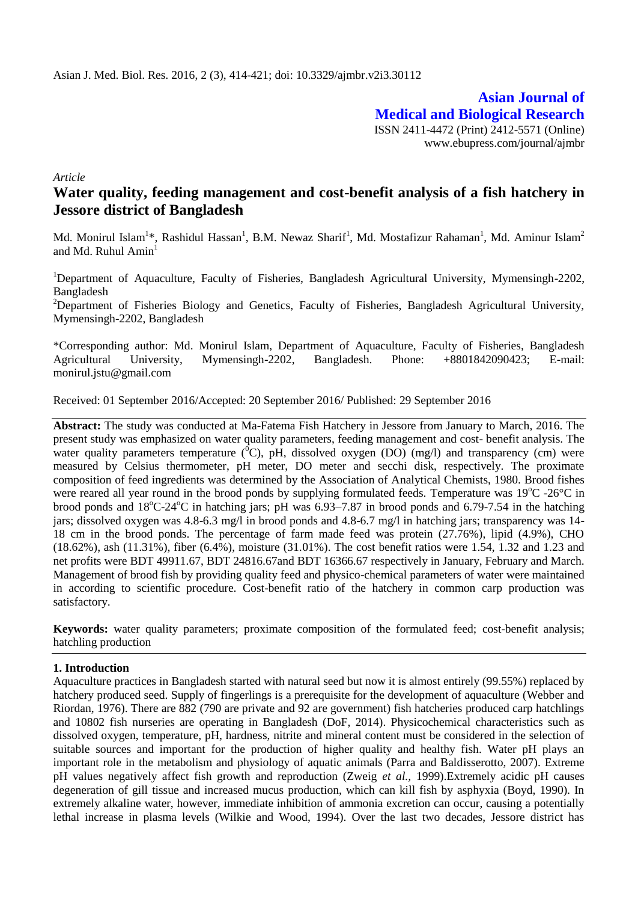**Asian Journal of Medical and Biological Research** ISSN 2411-4472 (Print) 2412-5571 (Online) www.ebupress.com/journal/ajmbr

*Article*

# **Water quality, feeding management and cost-benefit analysis of a fish hatchery in Jessore district of Bangladesh**

Md. Monirul Islam<sup>1</sup>\*, Rashidul Hassan<sup>1</sup>, B.M. Newaz Sharif<sup>1</sup>, Md. Mostafizur Rahaman<sup>1</sup>, Md. Aminur Islam<sup>2</sup> and Md. Ruhul Amin<sup>1</sup>

<sup>1</sup>Department of Aquaculture, Faculty of Fisheries, Bangladesh Agricultural University, Mymensingh-2202, Bangladesh

<sup>2</sup>Department of Fisheries Biology and Genetics, Faculty of Fisheries, Bangladesh Agricultural University, Mymensingh-2202, Bangladesh

\*Corresponding author: Md. Monirul Islam, Department of Aquaculture, Faculty of Fisheries, Bangladesh Agricultural University, Mymensingh-2202, Bangladesh. Phone: +8801842090423; E-mail: monirul.jstu@gmail.com

Received: 01 September 2016/Accepted: 20 September 2016/ Published: 29 September 2016

**Abstract:** The study was conducted at Ma-Fatema Fish Hatchery in Jessore from January to March, 2016. The present study was emphasized on water quality parameters, feeding management and cost- benefit analysis. The water quality parameters temperature  $({}^{0}C)$ , pH, dissolved oxygen (DO) (mg/l) and transparency (cm) were measured by Celsius thermometer, pH meter, DO meter and secchi disk, respectively. The proximate composition of feed ingredients was determined by the Association of Analytical Chemists, 1980. Brood fishes were reared all year round in the brood ponds by supplying formulated feeds. Temperature was  $19^{\circ}$ C -26 $^{\circ}$ C in brood ponds and  $18^{\circ}$ C-24 $^{\circ}$ C in hatching jars; pH was 6.93–7.87 in brood ponds and 6.79-7.54 in the hatching jars; dissolved oxygen was 4.8-6.3 mg/l in brood ponds and 4.8-6.7 mg/l in hatching jars; transparency was 14-18 cm in the brood ponds. The percentage of farm made feed was protein (27.76%), lipid (4.9%), CHO (18.62%), ash (11.31%), fiber (6.4%), moisture (31.01%). The cost benefit ratios were 1.54, 1.32 and 1.23 and net profits were BDT 49911.67, BDT 24816.67and BDT 16366.67 respectively in January, February and March. Management of brood fish by providing quality feed and physico-chemical parameters of water were maintained in according to scientific procedure. Cost-benefit ratio of the hatchery in common carp production was satisfactory.

**Keywords:** water quality parameters; proximate composition of the formulated feed; cost-benefit analysis; hatchling production

### **1. Introduction**

Aquaculture practices in Bangladesh started with natural seed but now it is almost entirely (99.55%) replaced by hatchery produced seed. Supply of fingerlings is a prerequisite for the development of aquaculture (Webber and Riordan, 1976). There are 882 (790 are private and 92 are government) fish hatcheries produced carp hatchlings and 10802 fish nurseries are operating in Bangladesh (DoF, 2014). Physicochemical characteristics such as dissolved oxygen, temperature, pH, hardness, nitrite and mineral content must be considered in the selection of suitable sources and important for the production of higher quality and healthy fish. Water pH plays an important role in the metabolism and physiology of aquatic animals (Parra and Baldisserotto, 2007). Extreme pH values negatively affect fish growth and reproduction (Zweig *et al.,* 1999).Extremely acidic pH causes degeneration of gill tissue and increased mucus production, which can kill fish by asphyxia (Boyd, 1990). In extremely alkaline water, however, immediate inhibition of ammonia excretion can occur, causing a potentially lethal increase in plasma levels (Wilkie and Wood, 1994). Over the last two decades, Jessore district has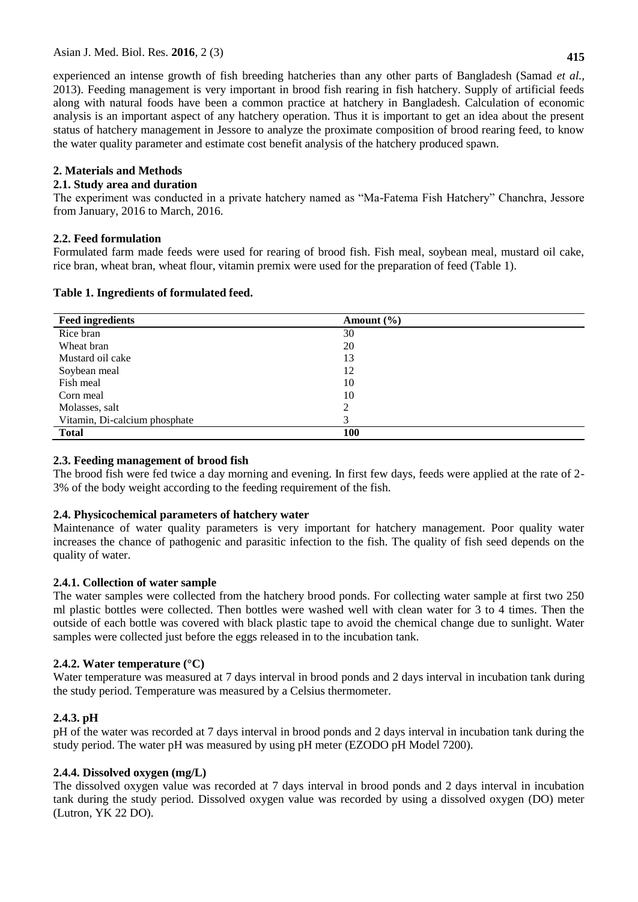experienced an intense growth of fish breeding hatcheries than any other parts of Bangladesh (Samad *et al.,* 2013). Feeding management is very important in brood fish rearing in fish hatchery. Supply of artificial feeds along with natural foods have been a common practice at hatchery in Bangladesh. Calculation of economic analysis is an important aspect of any hatchery operation. Thus it is important to get an idea about the present status of hatchery management in Jessore to analyze the proximate composition of brood rearing feed, to know the water quality parameter and estimate cost benefit analysis of the hatchery produced spawn.

# **2. Materials and Methods**

# **2.1. Study area and duration**

The experiment was conducted in a private hatchery named as "Ma-Fatema Fish Hatchery" Chanchra, Jessore from January, 2016 to March, 2016.

# **2.2. Feed formulation**

Formulated farm made feeds were used for rearing of brood fish. Fish meal, soybean meal, mustard oil cake, rice bran, wheat bran, wheat flour, vitamin premix were used for the preparation of feed (Table 1).

| <b>Feed ingredients</b>       | Amount $(\% )$ |
|-------------------------------|----------------|
| Rice bran                     | 30             |
| Wheat bran                    | 20             |
| Mustard oil cake              | 13             |
| Soybean meal                  | 12             |
| Fish meal                     | 10             |
| Corn meal                     | 10             |
| Molasses, salt                | ◠              |
| Vitamin, Di-calcium phosphate | 3              |
| <b>Total</b>                  | 100            |

### **Table 1. Ingredients of formulated feed.**

# **2.3. Feeding management of brood fish**

The brood fish were fed twice a day morning and evening. In first few days, feeds were applied at the rate of 2- 3% of the body weight according to the feeding requirement of the fish.

### **2.4. Physicochemical parameters of hatchery water**

Maintenance of water quality parameters is very important for hatchery management. Poor quality water increases the chance of pathogenic and parasitic infection to the fish. The quality of fish seed depends on the quality of water.

### **2.4.1. Collection of water sample**

The water samples were collected from the hatchery brood ponds. For collecting water sample at first two 250 ml plastic bottles were collected. Then bottles were washed well with clean water for 3 to 4 times. Then the outside of each bottle was covered with black plastic tape to avoid the chemical change due to sunlight. Water samples were collected just before the eggs released in to the incubation tank.

### **2.4.2. Water temperature (°C)**

Water temperature was measured at 7 days interval in brood ponds and 2 days interval in incubation tank during the study period. Temperature was measured by a Celsius thermometer.

# **2.4.3. pH**

pH of the water was recorded at 7 days interval in brood ponds and 2 days interval in incubation tank during the study period. The water pH was measured by using pH meter (EZODO pH Model 7200).

# **2.4.4. Dissolved oxygen (mg/L)**

The dissolved oxygen value was recorded at 7 days interval in brood ponds and 2 days interval in incubation tank during the study period. Dissolved oxygen value was recorded by using a dissolved oxygen (DO) meter (Lutron, YK 22 DO).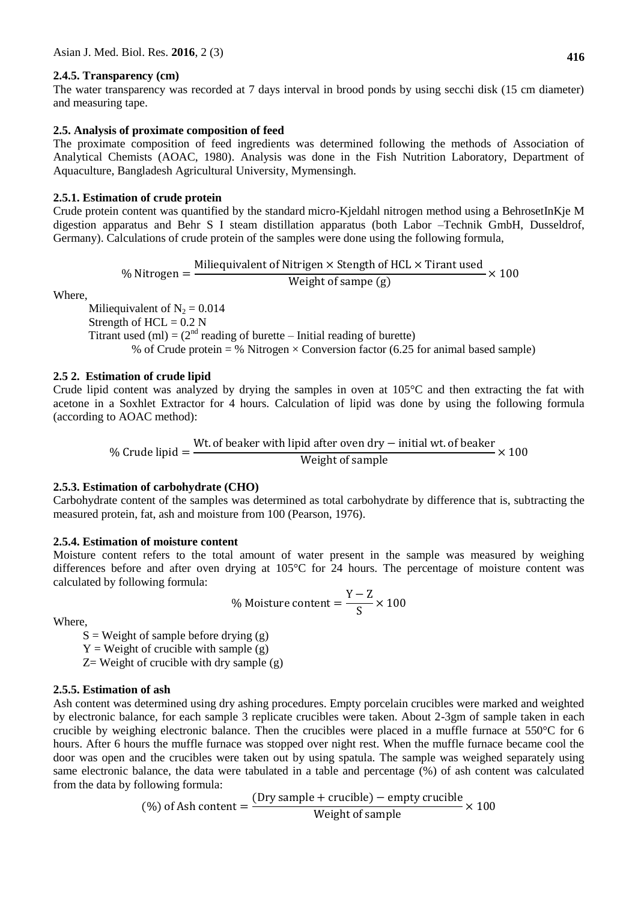#### **2.4.5. Transparency (cm)**

The water transparency was recorded at 7 days interval in brood ponds by using secchi disk (15 cm diameter) and measuring tape.

#### **2.5. Analysis of proximate composition of feed**

The proximate composition of feed ingredients was determined following the methods of Association of Analytical Chemists (AOAC, 1980). Analysis was done in the Fish Nutrition Laboratory, Department of Aquaculture, Bangladesh Agricultural University, Mymensingh.

#### **2.5.1. Estimation of crude protein**

Crude protein content was quantified by the standard micro-Kjeldahl nitrogen method using a BehrosetInKje M digestion apparatus and Behr S I steam distillation apparatus (both Labor –Technik GmbH, Dusseldrof, Germany). Calculations of crude protein of the samples were done using the following formula,

> $\frac{0}{0}$ M Weight of sampe  $(g)$  $\frac{1}{2} \times 100$

Where,

Miliequivalent of  $N_2 = 0.014$ Strength of  $HCL = 0.2$  N Titrant used (ml) =  $(2<sup>nd</sup>$  reading of burette – Initial reading of burette) % of Crude protein = % Nitrogen  $\times$  Conversion factor (6.25 for animal based sample)

#### **2.5 2. Estimation of crude lipid**

Crude lipid content was analyzed by drying the samples in oven at  $105^{\circ}$ C and then extracting the fat with acetone in a Soxhlet Extractor for 4 hours. Calculation of lipid was done by using the following formula (according to AOAC method):

 $\frac{0}{0}$ W W

### **2.5.3. Estimation of carbohydrate (CHO)**

Carbohydrate content of the samples was determined as total carbohydrate by difference that is, subtracting the measured protein, fat, ash and moisture from 100 (Pearson, 1976).

#### **2.5.4. Estimation of moisture content**

Moisture content refers to the total amount of water present in the sample was measured by weighing differences before and after oven drying at 105°C for 24 hours. The percentage of moisture content was calculated by following formula:

Y

 $\frac{1}{s}$   $\times$ 

Where,

 $S = Weight of sample before drying (g)$  $Y = Weight of crucible with sample (g)$ 

 $\frac{0}{0}$ 

 $Z=$  Weight of crucible with dry sample  $(g)$ 

#### **2.5.5. Estimation of ash**

Ash content was determined using dry ashing procedures. Empty porcelain crucibles were marked and weighted by electronic balance, for each sample 3 replicate crucibles were taken. About 2-3gm of sample taken in each crucible by weighing electronic balance. Then the crucibles were placed in a muffle furnace at 550°C for 6 hours. After 6 hours the muffle furnace was stopped over night rest. When the muffle furnace became cool the door was open and the crucibles were taken out by using spatula. The sample was weighed separately using same electronic balance, the data were tabulated in a table and percentage (%) of ash content was calculated from the data by following formula:

$$
\text{(%) of Ash content} = \frac{\text{(Dry sample + crucible)} - \text{empty crucible}}{\text{Weight of sample}} \times 100
$$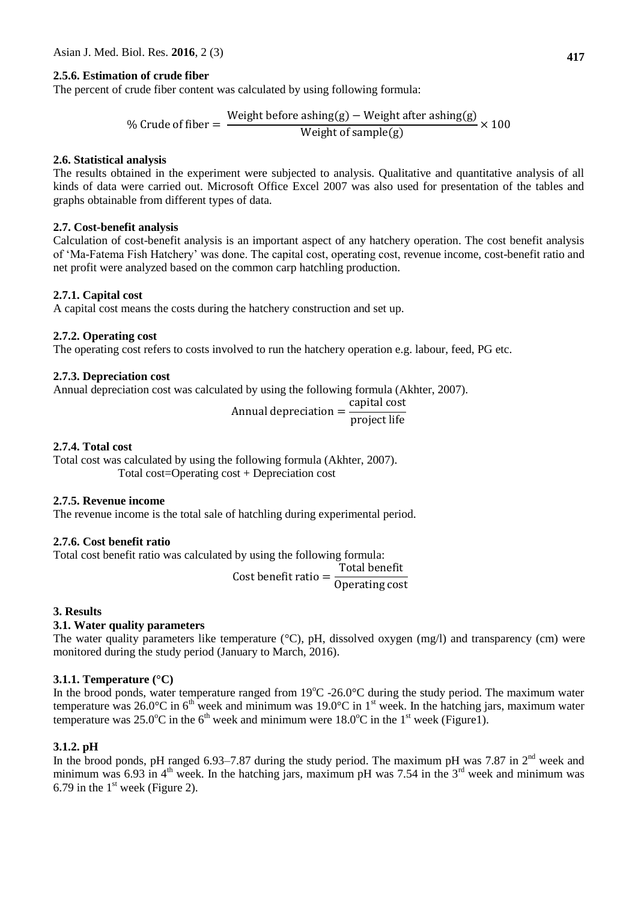# **2.5.6. Estimation of crude fiber**

The percent of crude fiber content was calculated by using following formula:

 $\%$ W  $\frac{12211260}{x}$  Weight of sample(g)

### **2.6. Statistical analysis**

The results obtained in the experiment were subjected to analysis. Qualitative and quantitative analysis of all kinds of data were carried out. Microsoft Office Excel 2007 was also used for presentation of the tables and graphs obtainable from different types of data.

### **2.7. Cost-benefit analysis**

Calculation of cost-benefit analysis is an important aspect of any hatchery operation. The cost benefit analysis of "Ma-Fatema Fish Hatchery" was done. The capital cost, operating cost, revenue income, cost-benefit ratio and net profit were analyzed based on the common carp hatchling production.

### **2.7.1. Capital cost**

A capital cost means the costs during the hatchery construction and set up.

#### **2.7.2. Operating cost**

The operating cost refers to costs involved to run the hatchery operation e.g. labour, feed, PG etc.

#### **2.7.3. Depreciation cost**

Annual depreciation cost was calculated by using the following formula (Akhter, 2007).

$$
Annual depreciation = \frac{capital cost}{project life}
$$

#### **2.7.4. Total cost**

Total cost was calculated by using the following formula (Akhter, 2007). Total cost=Operating cost + Depreciation cost

### **2.7.5. Revenue income**

The revenue income is the total sale of hatchling during experimental period.

### **2.7.6. Cost benefit ratio**

Total cost benefit ratio was calculated by using the following formula:

 $\mathsf{C}$ T  $\boldsymbol{0}$ 

### **3. Results**

### **3.1. Water quality parameters**

The water quality parameters like temperature (°C), pH, dissolved oxygen (mg/l) and transparency (cm) were monitored during the study period (January to March, 2016).

### **3.1.1. Temperature (°C)**

In the brood ponds, water temperature ranged from  $19^{\circ}$ C -26.0°C during the study period. The maximum water temperature was  $26.0^{\circ}$ C in  $6^{\text{th}}$  week and minimum was 19.0°C in 1<sup>st</sup> week. In the hatching jars, maximum water temperature was  $25.0^{\circ}$ C in the 6<sup>th</sup> week and minimum were  $18.0^{\circ}$ C in the 1<sup>st</sup> week (Figure1).

### **3.1.2. pH**

In the brood ponds, pH ranged 6.93–7.87 during the study period. The maximum pH was 7.87 in  $2<sup>nd</sup>$  week and minimum was 6.93 in  $4<sup>th</sup>$  week. In the hatching jars, maximum pH was 7.54 in the  $3<sup>rd</sup>$  week and minimum was 6.79 in the  $1<sup>st</sup>$  week (Figure 2).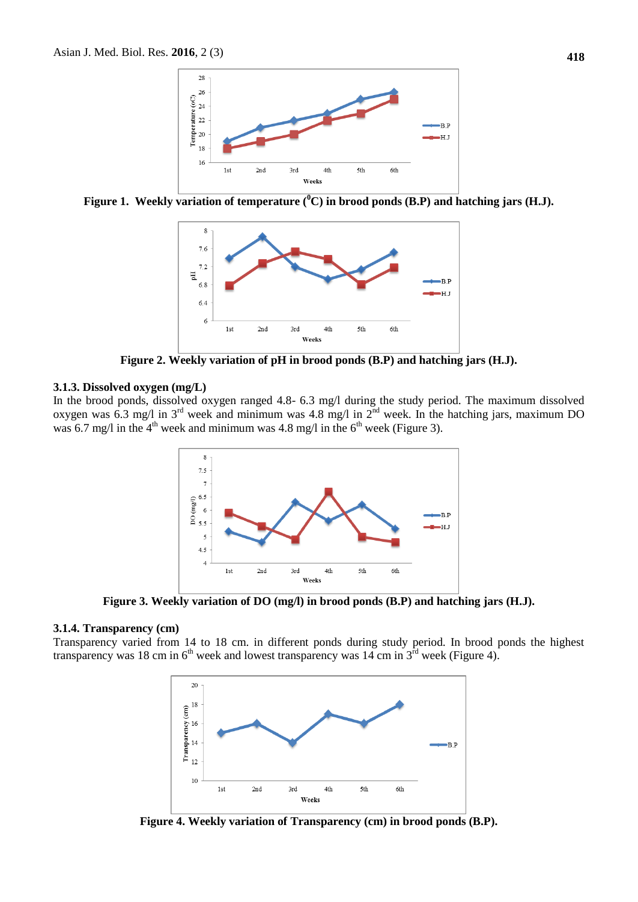

**Figure 1. Weekly variation of temperature (<sup>0</sup>C) in brood ponds (B.P) and hatching jars (H.J).**



**Figure 2. Weekly variation of pH in brood ponds (B.P) and hatching jars (H.J).**

#### **3.1.3. Dissolved oxygen (mg/L)**

In the brood ponds, dissolved oxygen ranged 4.8- 6.3 mg/l during the study period. The maximum dissolved oxygen was 6.3 mg/l in  $3<sup>rd</sup>$  week and minimum was 4.8 mg/l in  $2<sup>nd</sup>$  week. In the hatching jars, maximum DO was 6.7 mg/l in the  $4<sup>th</sup>$  week and minimum was 4.8 mg/l in the  $6<sup>th</sup>$  week (Figure 3).



**Figure 3. Weekly variation of DO (mg/l) in brood ponds (B.P) and hatching jars (H.J).**

#### **3.1.4. Transparency (cm)**

Transparency varied from 14 to 18 cm. in different ponds during study period. In brood ponds the highest transparency was  $18 \text{ cm}$  in 6<sup>th</sup> week and lowest transparency was  $14 \text{ cm}$  in  $3^{\text{rd}}$  week (Figure 4).



**Figure 4. Weekly variation of Transparency (cm) in brood ponds (B.P).**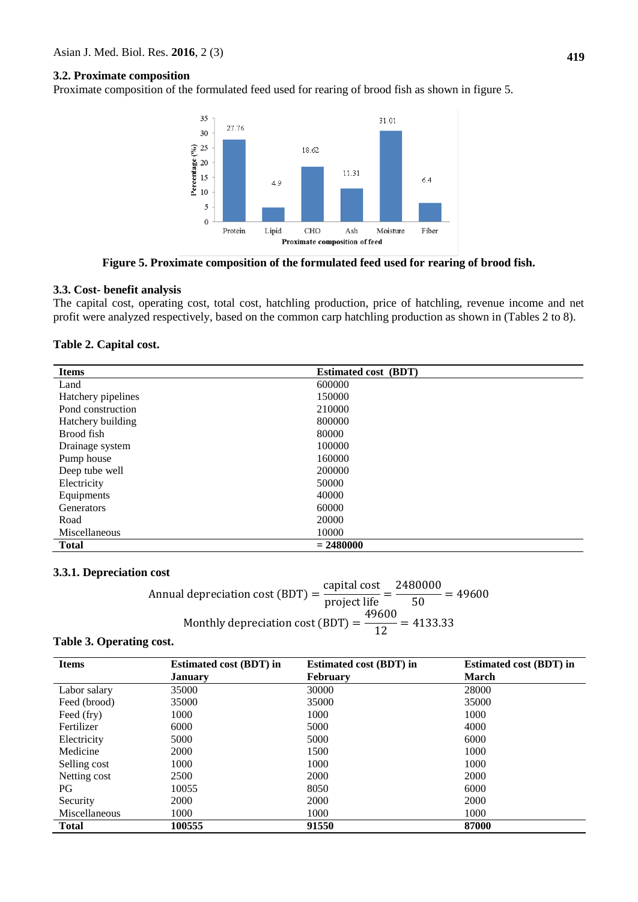### **3.2. Proximate composition**

Proximate composition of the formulated feed used for rearing of brood fish as shown in figure 5.



**Figure 5. Proximate composition of the formulated feed used for rearing of brood fish.**

#### **3.3. Cost- benefit analysis**

The capital cost, operating cost, total cost, hatchling production, price of hatchling, revenue income and net profit were analyzed respectively, based on the common carp hatchling production as shown in (Tables 2 to 8).

| <b>Items</b>       | <b>Estimated cost (BDT)</b> |
|--------------------|-----------------------------|
| Land               | 600000                      |
| Hatchery pipelines | 150000                      |
| Pond construction  | 210000                      |
| Hatchery building  | 800000                      |
| Brood fish         | 80000                       |
| Drainage system    | 100000                      |
| Pump house         | 160000                      |
| Deep tube well     | 200000                      |
| Electricity        | 50000                       |
| Equipments         | 40000                       |
| Generators         | 60000                       |
| Road               | 20000                       |
| Miscellaneous      | 10000                       |
| <b>Total</b>       | $= 2480000$                 |

#### **3.3.1. Depreciation cost**

|                                                                                                                                         | capital cost 2480000 |  |
|-----------------------------------------------------------------------------------------------------------------------------------------|----------------------|--|
| Annual depreciation cost (BDT) = $\frac{20 \text{ p} \cdot \text{cm} \cdot \text{cm}}{\text{project life}} = \frac{200000}{50} = 49600$ |                      |  |
| Monthly depreciation cost (BDT) = $\frac{17000}{12}$ = 4133.33                                                                          | 49600                |  |
|                                                                                                                                         |                      |  |

# **Table 3. Operating cost.**

| <b>Items</b>  | <b>Estimated cost (BDT) in</b> | <b>Estimated cost (BDT) in</b> | <b>Estimated cost (BDT) in</b> |
|---------------|--------------------------------|--------------------------------|--------------------------------|
|               | <b>January</b>                 | <b>February</b>                | <b>March</b>                   |
| Labor salary  | 35000                          | 30000                          | 28000                          |
| Feed (brood)  | 35000                          | 35000                          | 35000                          |
| Feed (fry)    | 1000                           | 1000                           | 1000                           |
| Fertilizer    | 6000                           | 5000                           | 4000                           |
| Electricity   | 5000                           | 5000                           | 6000                           |
| Medicine      | <b>2000</b>                    | 1500                           | 1000                           |
| Selling cost  | 1000                           | 1000                           | 1000                           |
| Netting cost  | 2500                           | 2000                           | 2000                           |
| PG            | 10055                          | 8050                           | 6000                           |
| Security      | 2000                           | 2000                           | 2000                           |
| Miscellaneous | 1000                           | 1000                           | 1000                           |
| <b>Total</b>  | 100555                         | 91550                          | 87000                          |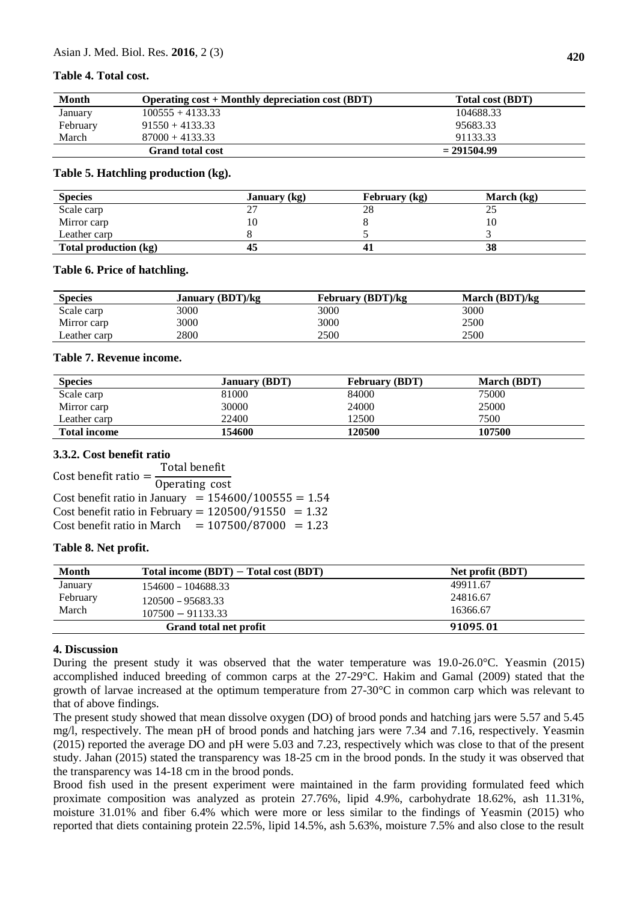### **Table 4. Total cost.**

| <b>Month</b> | Operating cost + Monthly depreciation cost (BDT) | Total cost (BDT) |
|--------------|--------------------------------------------------|------------------|
| January      | $100555 + 4133.33$                               | 104688.33        |
| February     | $91550 + 4133.33$                                | 95683.33         |
| March        | $87000 + 4133.33$                                | 91133.33         |
|              | <b>Grand total cost</b>                          | $= 291504.99$    |

#### **Table 5. Hatchling production (kg).**

| <b>Species</b>        | <b>January</b> (kg) | February (kg) | March (kg) |  |
|-----------------------|---------------------|---------------|------------|--|
| Scale carp            | ، ،                 | 28            | ت          |  |
| Mirror carp           | 10                  |               |            |  |
| Leather carp          |                     |               |            |  |
| Total production (kg) | 45                  | 41            | 38         |  |

#### **Table 6. Price of hatchling.**

| <b>Species</b>         | <b>January (BDT)/kg</b> | <b>February (BDT)/kg</b> | March $(BDT)/kg$ |  |
|------------------------|-------------------------|--------------------------|------------------|--|
| Scale carp             | 3000                    | 3000                     | 3000             |  |
| Mirror carp            | 3000                    | 3000                     | 2500             |  |
| $\text{L}$ eather carp | 2800                    | 2500                     | 2500             |  |

#### **Table 7. Revenue income.**

| <b>Species</b>      | <b>January (BDT)</b> | <b>February (BDT)</b> | <b>March (BDT)</b> |
|---------------------|----------------------|-----------------------|--------------------|
| Scale carp          | 81000                | 84000                 | 75000              |
| Mirror carp         | 30000                | 24000                 | 25000              |
| Leather carp        | 22400                | 12500                 | 7500               |
| <b>Total income</b> | <b>154600</b>        | 120500                | 107500             |

### **3.3.2. Cost benefit ratio**

Cost benefit ratio =  $\frac{1}{0}$ Total benefit Cost benefit ratio in January =  $154600/100555 = 1.54$ Cost benefit ratio in February =  $120500/91550 = 1.32$ Cost benefit ratio in March  $= 107500/87000 = 1.23$ 

### **Table 8. Net profit.**

| Month    | Total income $(BDT)$ – Total cost $(BDT)$ | <b>Net profit (BDT)</b> |
|----------|-------------------------------------------|-------------------------|
| January  | 154600 - 104688.33                        | 49911.67                |
| February | 120500 - 95683.33                         | 24816.67                |
| March    | $107500 - 91133.33$                       | 16366.67                |
|          | Grand total net profit                    | 91095.01                |

### **4. Discussion**

During the present study it was observed that the water temperature was 19.0-26.0°C. Yeasmin (2015) accomplished induced breeding of common carps at the 27-29°C. Hakim and Gamal (2009) stated that the growth of larvae increased at the optimum temperature from 27-30°C in common carp which was relevant to that of above findings.

The present study showed that mean dissolve oxygen (DO) of brood ponds and hatching jars were 5.57 and 5.45 mg/l, respectively. The mean pH of brood ponds and hatching jars were 7.34 and 7.16, respectively. Yeasmin (2015) reported the average DO and pH were 5.03 and 7.23, respectively which was close to that of the present study. Jahan (2015) stated the transparency was 18-25 cm in the brood ponds. In the study it was observed that the transparency was 14-18 cm in the brood ponds.

Brood fish used in the present experiment were maintained in the farm providing formulated feed which proximate composition was analyzed as protein 27.76%, lipid 4.9%, carbohydrate 18.62%, ash 11.31%, moisture 31.01% and fiber 6.4% which were more or less similar to the findings of Yeasmin (2015) who reported that diets containing protein 22.5%, lipid 14.5%, ash 5.63%, moisture 7.5% and also close to the result